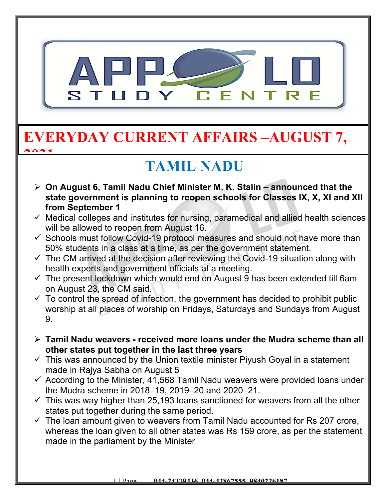

### **EVERYDAY CURRENT AFFAIRS –AUGUST 7, 2021**

# **TAMIL NADU**

- **On August 6, Tamil Nadu Chief Minister M. K. Stalin announced that the state government is planning to reopen schools for Classes IX, X, XI and XII from September 1**
- $\checkmark$  Medical colleges and institutes for nursing, paramedical and allied health sciences will be allowed to reopen from August 16.
- $\checkmark$  Schools must follow Covid-19 protocol measures and should not have more than 50% students in a class at a time, as per the government statement.
- $\checkmark$  The CM arrived at the decision after reviewing the Covid-19 situation along with health experts and government officials at a meeting.
- $\checkmark$  The present lockdown which would end on August 9 has been extended till 6am on August 23, the CM said.
- $\checkmark$  To control the spread of infection, the government has decided to prohibit public worship at all places of worship on Fridays, Saturdays and Sundays from August 9.
- **Tamil Nadu weavers received more loans under the Mudra scheme than all other states put together in the last three years**
- $\checkmark$  This was announced by the Union textile minister Piyush Goyal in a statement made in Rajya Sabha on August 5
- $\checkmark$  According to the Minister, 41,568 Tamil Nadu weavers were provided loans under the Mudra scheme in 2018–19, 2019–20 and 2020–21.
- $\checkmark$  This was way higher than 25,193 loans sanctioned for weavers from all the other states put together during the same period.
- $\checkmark$  The loan amount given to weavers from Tamil Nadu accounted for Rs 207 crore, whereas the loan given to all other states was Rs 159 crore, as per the statement made in the parliament by the Minister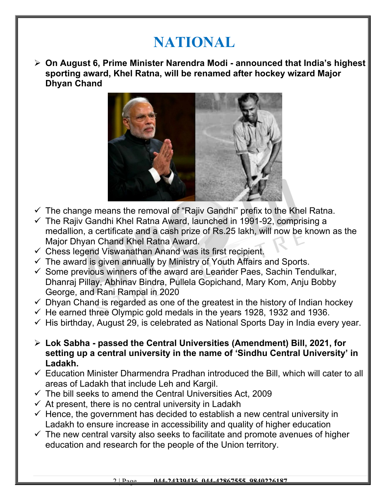## **NATIONAL**

 **On August 6, Prime Minister Narendra Modi - announced that India's highest sporting award, Khel Ratna, will be renamed after hockey wizard Major Dhyan Chand**



- $\checkmark$  The change means the removal of "Rajiv Gandhi" prefix to the Khel Ratna.
- $\checkmark$  The Rajiv Gandhi Khel Ratna Award, launched in 1991-92, comprising a medallion, a certificate and a cash prize of Rs.25 lakh, will now be known as the Major Dhyan Chand Khel Ratna Award.
- $\checkmark$  Chess legend Viswanathan Anand was its first recipient.
- $\checkmark$  The award is given annually by Ministry of Youth Affairs and Sports.
- $\checkmark$  Some previous winners of the award are Leander Paes, Sachin Tendulkar, Dhanraj Pillay, Abhinav Bindra, Pullela Gopichand, Mary Kom, Anju Bobby George, and Rani Rampal in 2020
- $\checkmark$  Dhyan Chand is regarded as one of the greatest in the history of Indian hockey
- $\checkmark$  He earned three Olympic gold medals in the years 1928, 1932 and 1936.
- $\checkmark$  His birthday, August 29, is celebrated as National Sports Day in India every year.
- **Lok Sabha passed the Central Universities (Amendment) Bill, 2021, for setting up a central university in the name of 'Sindhu Central University' in Ladakh.**
- $\checkmark$  Education Minister Dharmendra Pradhan introduced the Bill, which will cater to all areas of Ladakh that include Leh and Kargil.
- $\checkmark$  The bill seeks to amend the Central Universities Act, 2009
- $\checkmark$  At present, there is no central university in Ladakh
- $\checkmark$  Hence, the government has decided to establish a new central university in Ladakh to ensure increase in accessibility and quality of higher education
- $\checkmark$  The new central varsity also seeks to facilitate and promote avenues of higher education and research for the people of the Union territory.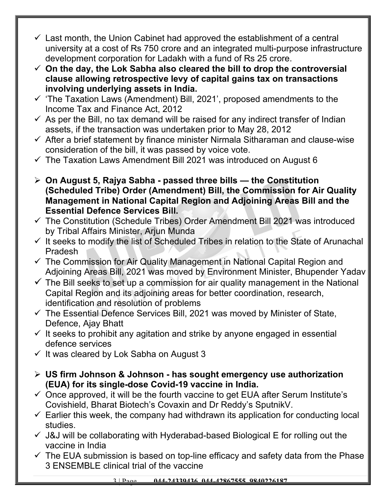- $\checkmark$  Last month, the Union Cabinet had approved the establishment of a central university at a cost of Rs 750 crore and an integrated multi-purpose infrastructure development corporation for Ladakh with a fund of Rs 25 crore.
- **On the day, the Lok Sabha also cleared the bill to drop the controversial clause allowing retrospective levy of capital gains tax on transactions involving underlying assets in India.**
- $\checkmark$  'The Taxation Laws (Amendment) Bill, 2021', proposed amendments to the Income Tax and Finance Act, 2012
- $\checkmark$  As per the Bill, no tax demand will be raised for any indirect transfer of Indian assets, if the transaction was undertaken prior to May 28, 2012
- $\checkmark$  After a brief statement by finance minister Nirmala Sitharaman and clause-wise consideration of the bill, it was passed by voice vote.
- $\checkmark$  The Taxation Laws Amendment Bill 2021 was introduced on August 6
- **On August 5, Rajya Sabha passed three bills the Constitution (Scheduled Tribe) Order (Amendment) Bill, the Commission for Air Quality Management in National Capital Region and Adjoining Areas Bill and the Essential Defence Services Bill.**
- $\checkmark$  The Constitution (Schedule Tribes) Order Amendment Bill 2021 was introduced by Tribal Affairs Minister, Arjun Munda
- $\checkmark$  It seeks to modify the list of Scheduled Tribes in relation to the State of Arunachal Pradesh
- $\checkmark$  The Commission for Air Quality Management in National Capital Region and Adjoining Areas Bill, 2021 was moved by Environment Minister, Bhupender Yadav
- $\checkmark$  The Bill seeks to set up a commission for air quality management in the National Capital Region and its adjoining areas for better coordination, research, identification and resolution of problems
- $\checkmark$  The Essential Defence Services Bill, 2021 was moved by Minister of State, Defence, Ajay Bhatt
- $\checkmark$  It seeks to prohibit any agitation and strike by anyone engaged in essential defence services
- $\checkmark$  It was cleared by Lok Sabha on August 3
- **US firm Johnson & Johnson has sought emergency use authorization (EUA) for its single-dose Covid-19 vaccine in India.**
- $\checkmark$  Once approved, it will be the fourth vaccine to get EUA after Serum Institute's Covishield, Bharat Biotech's Covaxin and Dr Reddy's SputnikV.
- $\checkmark$  Earlier this week, the company had withdrawn its application for conducting local studies.
- $\checkmark$  J&J will be collaborating with Hyderabad-based Biological E for rolling out the vaccine in India
- $\checkmark$  The EUA submission is based on top-line efficacy and safety data from the Phase 3 ENSEMBLE clinical trial of the vaccine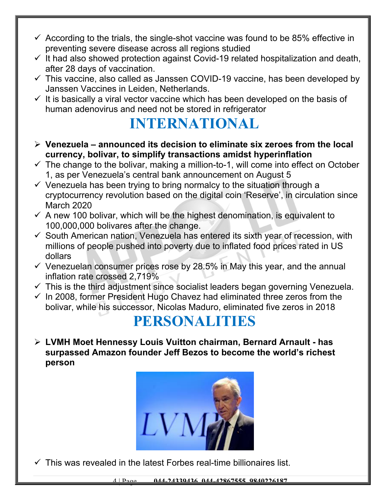- $\checkmark$  According to the trials, the single-shot vaccine was found to be 85% effective in preventing severe disease across all regions studied
- $\checkmark$  It had also showed protection against Covid-19 related hospitalization and death, after 28 days of vaccination.
- $\checkmark$  This vaccine, also called as Janssen COVID-19 vaccine, has been developed by Janssen Vaccines in Leiden, Netherlands.
- $\checkmark$  It is basically a viral vector vaccine which has been developed on the basis of human adenovirus and need not be stored in refrigerator

### **INTERNATIONAL**

- **Venezuela announced its decision to eliminate six zeroes from the local currency, bolivar, to simplify transactions amidst hyperinflation**
- $\checkmark$  The change to the bolivar, making a million-to-1, will come into effect on October 1, as per Venezuela's central bank announcement on August 5
- $\checkmark$  Venezuela has been trying to bring normalcy to the situation through a cryptocurrency revolution based on the digital coin 'Reserve', in circulation since March 2020
- $\checkmark$  A new 100 bolivar, which will be the highest denomination, is equivalent to 100,000,000 bolivares after the change.
- $\checkmark$  South American nation, Venezuela has entered its sixth year of recession, with millions of people pushed into poverty due to inflated food prices rated in US dollars
- $\checkmark$  Venezuelan consumer prices rose by 28.5% in May this year, and the annual inflation rate crossed 2,719%
- $\checkmark$  This is the third adjustment since socialist leaders began governing Venezuela.
- $\checkmark$  In 2008, former President Hugo Chavez had eliminated three zeros from the bolivar, while his successor, Nicolas Maduro, eliminated five zeros in 2018

#### **PERSONALITIES**

 **LVMH Moet Hennessy Louis Vuitton chairman, Bernard Arnault - has surpassed Amazon founder Jeff Bezos to become the world's richest person**



 $\checkmark$  This was revealed in the latest Forbes real-time billionaires list.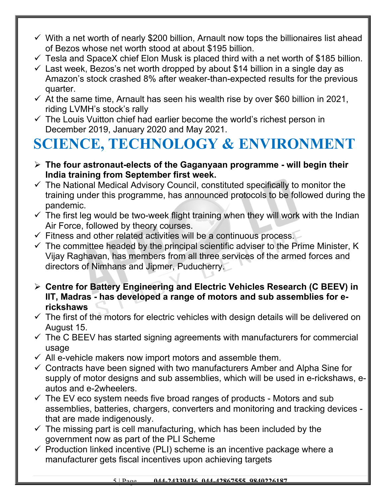- $\checkmark$  With a net worth of nearly \$200 billion, Arnault now tops the billionaires list ahead of Bezos whose net worth stood at about \$195 billion.
- $\checkmark$  Tesla and SpaceX chief Elon Musk is placed third with a net worth of \$185 billion.
- $\checkmark$  Last week, Bezos's net worth dropped by about \$14 billion in a single day as Amazon's stock crashed 8% after weaker-than-expected results for the previous quarter.
- $\checkmark$  At the same time, Arnault has seen his wealth rise by over \$60 billion in 2021, riding LVMH's stock's rally
- $\checkmark$  The Louis Vuitton chief had earlier become the world's richest person in December 2019, January 2020 and May 2021.

# **SCIENCE, TECHNOLOGY & ENVIRONMENT**

- **The four astronaut-elects of the Gaganyaan programme will begin their India training from September first week.**
- $\checkmark$  The National Medical Advisory Council, constituted specifically to monitor the training under this programme, has announced protocols to be followed during the pandemic.
- $\checkmark$  The first leg would be two-week flight training when they will work with the Indian Air Force, followed by theory courses.
- $\checkmark$  Fitness and other related activities will be a continuous process.
- $\checkmark$  The committee headed by the principal scientific adviser to the Prime Minister, K Vijay Raghavan, has members from all three services of the armed forces and directors of Nimhans and Jipmer, Puducherry.
- **Centre for Battery Engineering and Electric Vehicles Research (C BEEV) in IIT, Madras - has developed a range of motors and sub assemblies for erickshaws**
- $\checkmark$  The first of the motors for electric vehicles with design details will be delivered on August 15.
- $\checkmark$  The C BEEV has started signing agreements with manufacturers for commercial usage
- $\checkmark$  All e-vehicle makers now import motors and assemble them.
- $\checkmark$  Contracts have been signed with two manufacturers Amber and Alpha Sine for supply of motor designs and sub assemblies, which will be used in e-rickshaws, eautos and e-2wheelers.
- $\checkmark$  The EV eco system needs five broad ranges of products Motors and sub assemblies, batteries, chargers, converters and monitoring and tracking devices that are made indigenously.
- $\checkmark$  The missing part is cell manufacturing, which has been included by the government now as part of the PLI Scheme
- $\checkmark$  Production linked incentive (PLI) scheme is an incentive package where a manufacturer gets fiscal incentives upon achieving targets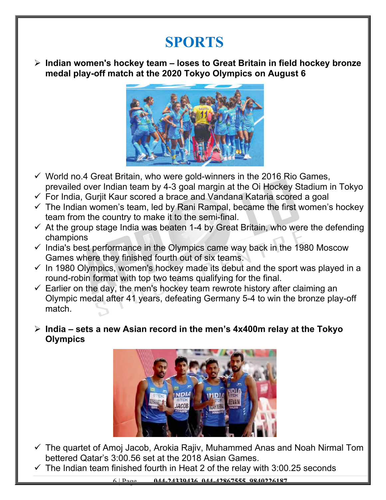#### **SPORTS**

 **Indian women's hockey team – loses to Great Britain in field hockey bronze medal play-off match at the 2020 Tokyo Olympics on August 6**



- $\checkmark$  World no.4 Great Britain, who were gold-winners in the 2016 Rio Games, prevailed over Indian team by 4-3 goal margin at the Oi Hockey Stadium in Tokyo
- $\checkmark$  For India, Gurjit Kaur scored a brace and Vandana Kataria scored a goal
- $\checkmark$  The Indian women's team, led by Rani Rampal, became the first women's hockey team from the country to make it to the semi-final.
- $\checkmark$  At the group stage India was beaten 1-4 by Great Britain, who were the defending champions
- $\checkmark$  India's best performance in the Olympics came way back in the 1980 Moscow Games where they finished fourth out of six teams.
- $\checkmark$  In 1980 Olympics, women's hockey made its debut and the sport was played in a round-robin format with top two teams qualifying for the final.
- $\checkmark$  Earlier on the day, the men's hockey team rewrote history after claiming an Olympic medal after 41 years, defeating Germany 5-4 to win the bronze play-off match.
- **India sets a new Asian record in the men's 4x400m relay at the Tokyo Olympics**



- $\checkmark$  The quartet of Amoj Jacob, Arokia Rajiv, Muhammed Anas and Noah Nirmal Tom bettered Qatar's 3:00.56 set at the 2018 Asian Games.
- $\checkmark$  The Indian team finished fourth in Heat 2 of the relay with 3:00.25 seconds

6 | Page **044-24339436, 044-42867555, 9840226187**